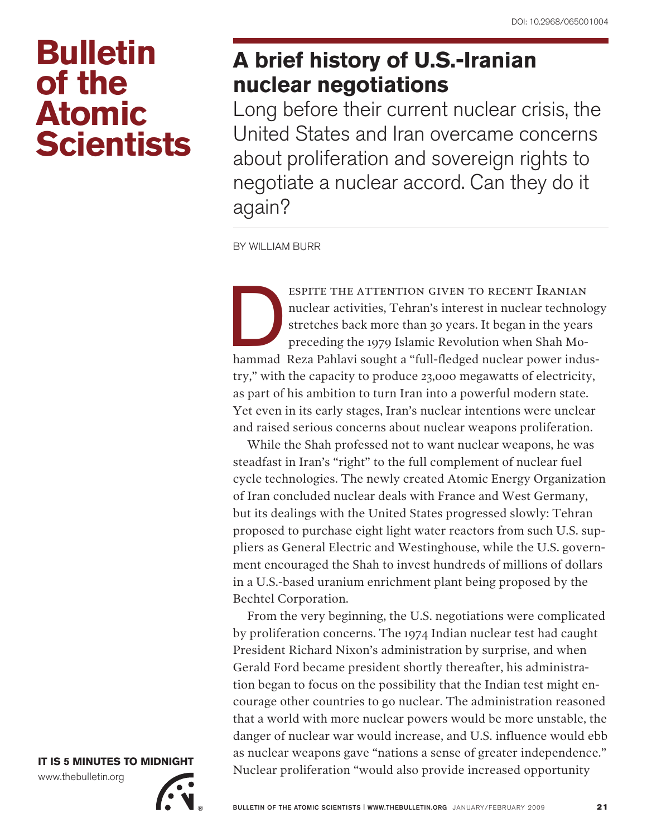## **Bulletin of the Atomic Scientists**

## **A brief history of U.S.-Iranian nuclear negotiations**

Long before their current nuclear crisis, the United States and Iran overcame concerns about proliferation and sovereign rights to negotiate a nuclear accord. Can they do it again?

By William Burr

espite the attention given to recent Iranian nuclear activities, Tehran's interest in nuclear technology stretches back more than 30 years. It began in the years preceding the 1979 Islamic Revolution when Shah Mo-ESPITE THE ATTENTION GIVEN TO RECENT IRANIAN<br>nuclear activities, Tehran's interest in nuclear technolog<br>stretches back more than 30 years. It began in the years<br>preceding the 1979 Islamic Revolution when Shah Mo-<br>hammad Re try," with the capacity to produce 23,000 megawatts of electricity, as part of his ambition to turn Iran into a powerful modern state. Yet even in its early stages, Iran's nuclear intentions were unclear and raised serious concerns about nuclear weapons proliferation.

While the Shah professed not to want nuclear weapons, he was steadfast in Iran's "right" to the full complement of nuclear fuel cycle technologies. The newly created Atomic Energy Organization of Iran concluded nuclear deals with France and West Germany, but its dealings with the United States progressed slowly: Tehran proposed to purchase eight light water reactors from such U.S. suppliers as General Electric and Westinghouse, while the U.S. government encouraged the Shah to invest hundreds of millions of dollars in a U.S.-based uranium enrichment plant being proposed by the Bechtel Corporation.

From the very beginning, the U.S. negotiations were complicated by proliferation concerns. The 1974 Indian nuclear test had caught President Richard Nixon's administration by surprise, and when Gerald Ford became president shortly thereafter, his administration began to focus on the possibility that the Indian test might encourage other countries to go nuclear. The administration reasoned that a world with more nuclear powers would be more unstable, the danger of nuclear war would increase, and U.S. influence would ebb as nuclear weapons gave "nations a sense of greater independence." Nuclear proliferation "would also provide increased opportunity

**IT IS 5 MINUTES TO MIDNIGHT** www.thebulletin.org

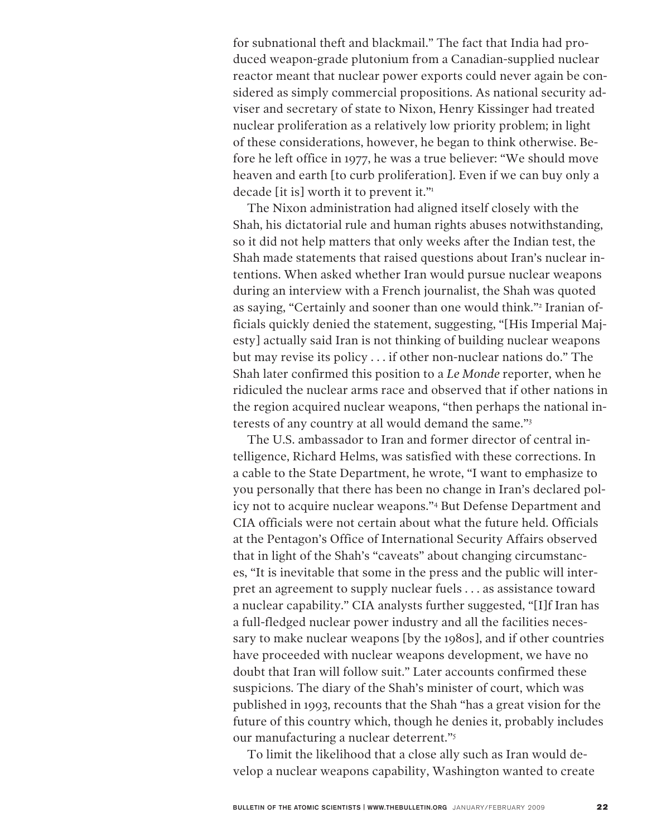for subnational theft and blackmail." The fact that India had produced weapon-grade plutonium from a Canadian-supplied nuclear reactor meant that nuclear power exports could never again be considered as simply commercial propositions. As national security adviser and secretary of state to Nixon, Henry Kissinger had treated nuclear proliferation as a relatively low priority problem; in light of these considerations, however, he began to think otherwise. Before he left office in 1977, he was a true believer: "We should move heaven and earth [to curb proliferation]. Even if we can buy only a decade [it is] worth it to prevent it."1

The Nixon administration had aligned itself closely with the Shah, his dictatorial rule and human rights abuses notwithstanding, so it did not help matters that only weeks after the Indian test, the Shah made statements that raised questions about Iran's nuclear intentions. When asked whether Iran would pursue nuclear weapons during an interview with a French journalist, the Shah was quoted as saying, "Certainly and sooner than one would think."<sup>2</sup> Iranian officials quickly denied the statement, suggesting, "[His Imperial Majesty] actually said Iran is not thinking of building nuclear weapons but may revise its policy . . . if other non-nuclear nations do." The Shah later confirmed this position to a *Le Monde* reporter, when he ridiculed the nuclear arms race and observed that if other nations in the region acquired nuclear weapons, "then perhaps the national interests of any country at all would demand the same."3

The U.S. ambassador to Iran and former director of central intelligence, Richard Helms, was satisfied with these corrections. In a cable to the State Department, he wrote, "I want to emphasize to you personally that there has been no change in Iran's declared policy not to acquire nuclear weapons."4 But Defense Department and CIA officials were not certain about what the future held. Officials at the Pentagon's Office of International Security Affairs observed that in light of the Shah's "caveats" about changing circumstances, "It is inevitable that some in the press and the public will interpret an agreement to supply nuclear fuels . . . as assistance toward a nuclear capability." CIA analysts further suggested, "[I]f Iran has a full-fledged nuclear power industry and all the facilities necessary to make nuclear weapons [by the 1980s], and if other countries have proceeded with nuclear weapons development, we have no doubt that Iran will follow suit." Later accounts confirmed these suspicions. The diary of the Shah's minister of court, which was published in 1993, recounts that the Shah "has a great vision for the future of this country which, though he denies it, probably includes our manufacturing a nuclear deterrent."5

To limit the likelihood that a close ally such as Iran would develop a nuclear weapons capability, Washington wanted to create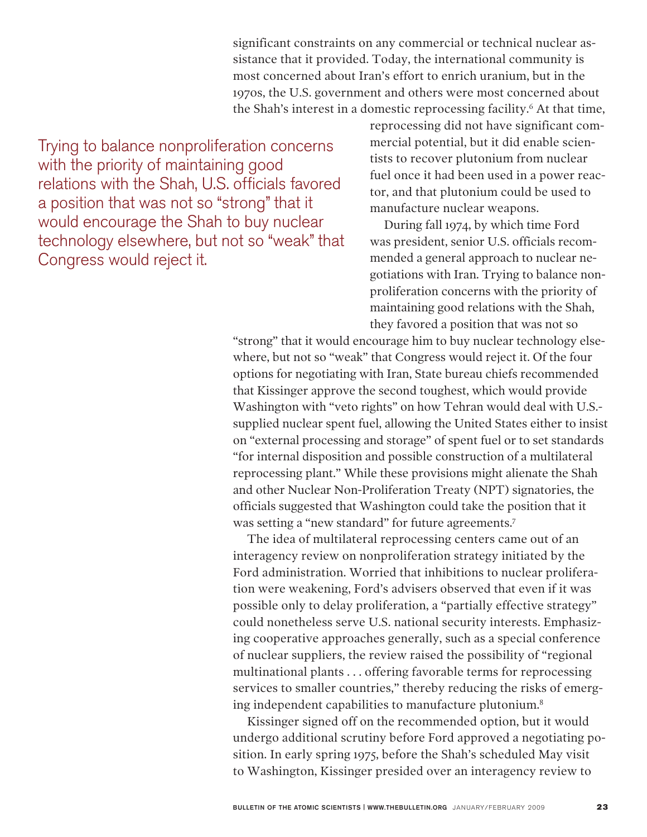significant constraints on any commercial or technical nuclear assistance that it provided. Today, the international community is most concerned about Iran's effort to enrich uranium, but in the 1970s, the U.S. government and others were most concerned about the Shah's interest in a domestic reprocessing facility.6 At that time,

Trying to balance nonproliferation concerns with the priority of maintaining good relations with the Shah, U.S. officials favored a position that was not so "strong" that it would encourage the Shah to buy nuclear technology elsewhere, but not so "weak" that Congress would reject it.

reprocessing did not have significant commercial potential, but it did enable scientists to recover plutonium from nuclear fuel once it had been used in a power reactor, and that plutonium could be used to manufacture nuclear weapons.

During fall 1974, by which time Ford was president, senior U.S. officials recommended a general approach to nuclear negotiations with Iran. Trying to balance nonproliferation concerns with the priority of maintaining good relations with the Shah, they favored a position that was not so

"strong" that it would encourage him to buy nuclear technology elsewhere, but not so "weak" that Congress would reject it. Of the four options for negotiating with Iran, State bureau chiefs recommended that Kissinger approve the second toughest, which would provide Washington with "veto rights" on how Tehran would deal with U.S. supplied nuclear spent fuel, allowing the United States either to insist on "external processing and storage" of spent fuel or to set standards "for internal disposition and possible construction of a multilateral reprocessing plant." While these provisions might alienate the Shah and other Nuclear Non-Proliferation Treaty (NPT) signatories, the officials suggested that Washington could take the position that it was setting a "new standard" for future agreements.<sup>7</sup>

The idea of multilateral reprocessing centers came out of an interagency review on nonproliferation strategy initiated by the Ford administration. Worried that inhibitions to nuclear proliferation were weakening, Ford's advisers observed that even if it was possible only to delay proliferation, a "partially effective strategy" could nonetheless serve U.S. national security interests. Emphasizing cooperative approaches generally, such as a special conference of nuclear suppliers, the review raised the possibility of "regional multinational plants . . . offering favorable terms for reprocessing services to smaller countries," thereby reducing the risks of emerging independent capabilities to manufacture plutonium.8

Kissinger signed off on the recommended option, but it would undergo additional scrutiny before Ford approved a negotiating position. In early spring 1975, before the Shah's scheduled May visit to Washington, Kissinger presided over an interagency review to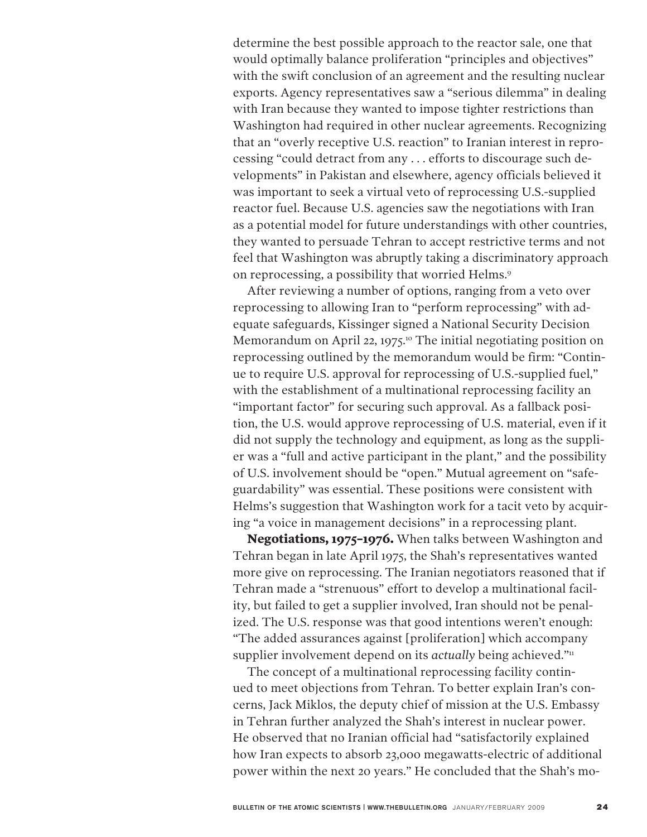determine the best possible approach to the reactor sale, one that would optimally balance proliferation "principles and objectives" with the swift conclusion of an agreement and the resulting nuclear exports. Agency representatives saw a "serious dilemma" in dealing with Iran because they wanted to impose tighter restrictions than Washington had required in other nuclear agreements. Recognizing that an "overly receptive U.S. reaction" to Iranian interest in reprocessing "could detract from any . . . efforts to discourage such developments" in Pakistan and elsewhere, agency officials believed it was important to seek a virtual veto of reprocessing U.S.-supplied reactor fuel. Because U.S. agencies saw the negotiations with Iran as a potential model for future understandings with other countries, they wanted to persuade Tehran to accept restrictive terms and not feel that Washington was abruptly taking a discriminatory approach on reprocessing, a possibility that worried Helms.9

After reviewing a number of options, ranging from a veto over reprocessing to allowing Iran to "perform reprocessing" with adequate safeguards, Kissinger signed a National Security Decision Memorandum on April 22, 1975.<sup>10</sup> The initial negotiating position on reprocessing outlined by the memorandum would be firm: "Continue to require U.S. approval for reprocessing of U.S.-supplied fuel," with the establishment of a multinational reprocessing facility an "important factor" for securing such approval. As a fallback position, the U.S. would approve reprocessing of U.S. material, even if it did not supply the technology and equipment, as long as the supplier was a "full and active participant in the plant," and the possibility of U.S. involvement should be "open." Mutual agreement on "safeguardability" was essential. These positions were consistent with Helms's suggestion that Washington work for a tacit veto by acquiring "a voice in management decisions" in a reprocessing plant.

**Negotiations, 1975–1976.** When talks between Washington and Tehran began in late April 1975, the Shah's representatives wanted more give on reprocessing. The Iranian negotiators reasoned that if Tehran made a "strenuous" effort to develop a multinational facility, but failed to get a supplier involved, Iran should not be penalized. The U.S. response was that good intentions weren't enough: "The added assurances against [proliferation] which accompany supplier involvement depend on its *actually* being achieved."<sup>11</sup>

The concept of a multinational reprocessing facility continued to meet objections from Tehran. To better explain Iran's concerns, Jack Miklos, the deputy chief of mission at the U.S. Embassy in Tehran further analyzed the Shah's interest in nuclear power. He observed that no Iranian official had "satisfactorily explained how Iran expects to absorb 23,000 megawatts-electric of additional power within the next 20 years." He concluded that the Shah's mo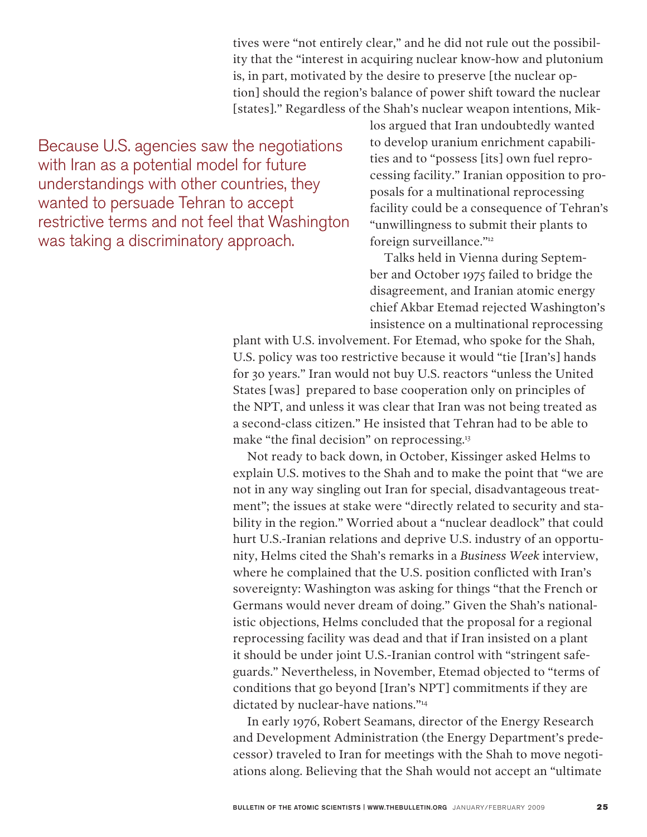tives were "not entirely clear," and he did not rule out the possibility that the "interest in acquiring nuclear know-how and plutonium is, in part, motivated by the desire to preserve [the nuclear option] should the region's balance of power shift toward the nuclear [states]." Regardless of the Shah's nuclear weapon intentions, Mik-

Because U.S. agencies saw the negotiations with Iran as a potential model for future understandings with other countries, they wanted to persuade Tehran to accept restrictive terms and not feel that Washington was taking a discriminatory approach.

los argued that Iran undoubtedly wanted to develop uranium enrichment capabilities and to "possess [its] own fuel reprocessing facility." Iranian opposition to proposals for a multinational reprocessing facility could be a consequence of Tehran's "unwillingness to submit their plants to foreign surveillance."12

Talks held in Vienna during September and October 1975 failed to bridge the disagreement, and Iranian atomic energy chief Akbar Etemad rejected Washington's insistence on a multinational reprocessing

plant with U.S. involvement. For Etemad, who spoke for the Shah, U.S. policy was too restrictive because it would "tie [Iran's] hands for 30 years." Iran would not buy U.S. reactors "unless the United States [was] prepared to base cooperation only on principles of the NPT, and unless it was clear that Iran was not being treated as a second-class citizen." He insisted that Tehran had to be able to make "the final decision" on reprocessing.<sup>13</sup>

Not ready to back down, in October, Kissinger asked Helms to explain U.S. motives to the Shah and to make the point that "we are not in any way singling out Iran for special, disadvantageous treatment"; the issues at stake were "directly related to security and stability in the region." Worried about a "nuclear deadlock" that could hurt U.S.-Iranian relations and deprive U.S. industry of an opportunity, Helms cited the Shah's remarks in a *Business Week* interview, where he complained that the U.S. position conflicted with Iran's sovereignty: Washington was asking for things "that the French or Germans would never dream of doing." Given the Shah's nationalistic objections, Helms concluded that the proposal for a regional reprocessing facility was dead and that if Iran insisted on a plant it should be under joint U.S.-Iranian control with "stringent safeguards." Nevertheless, in November, Etemad objected to "terms of conditions that go beyond [Iran's NPT] commitments if they are dictated by nuclear-have nations."14

In early 1976, Robert Seamans, director of the Energy Research and Development Administration (the Energy Department's predecessor) traveled to Iran for meetings with the Shah to move negotiations along. Believing that the Shah would not accept an "ultimate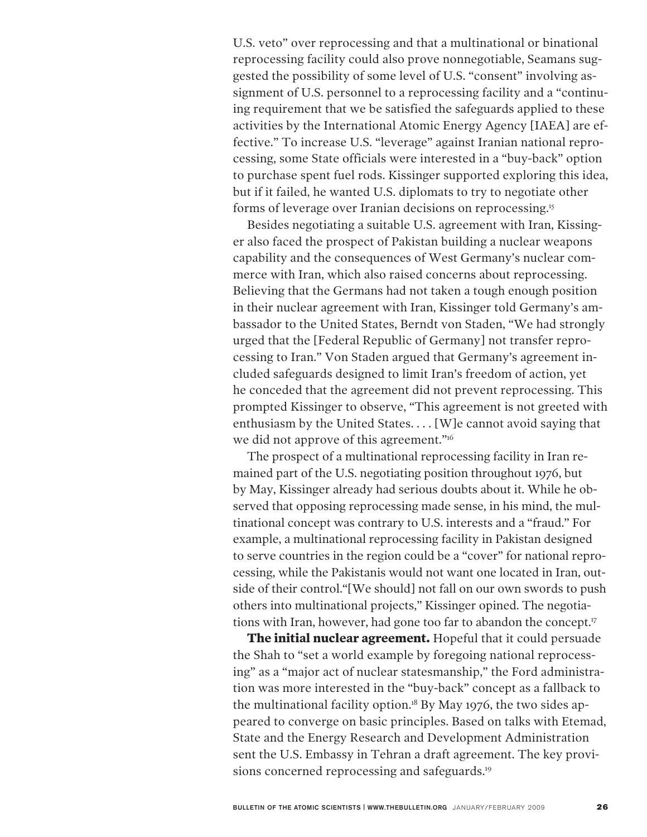U.S. veto" over reprocessing and that a multinational or binational reprocessing facility could also prove nonnegotiable, Seamans suggested the possibility of some level of U.S. "consent" involving assignment of U.S. personnel to a reprocessing facility and a "continuing requirement that we be satisfied the safeguards applied to these activities by the International Atomic Energy Agency [IAEA] are effective." To increase U.S. "leverage" against Iranian national reprocessing, some State officials were interested in a "buy-back" option to purchase spent fuel rods. Kissinger supported exploring this idea, but if it failed, he wanted U.S. diplomats to try to negotiate other forms of leverage over Iranian decisions on reprocessing.15

Besides negotiating a suitable U.S. agreement with Iran, Kissinger also faced the prospect of Pakistan building a nuclear weapons capability and the consequences of West Germany's nuclear commerce with Iran, which also raised concerns about reprocessing. Believing that the Germans had not taken a tough enough position in their nuclear agreement with Iran, Kissinger told Germany's ambassador to the United States, Berndt von Staden, "We had strongly urged that the [Federal Republic of Germany] not transfer reprocessing to Iran." Von Staden argued that Germany's agreement included safeguards designed to limit Iran's freedom of action, yet he conceded that the agreement did not prevent reprocessing. This prompted Kissinger to observe, "This agreement is not greeted with enthusiasm by the United States. . . . [W]e cannot avoid saying that we did not approve of this agreement."<sup>16</sup>

The prospect of a multinational reprocessing facility in Iran remained part of the U.S. negotiating position throughout 1976, but by May, Kissinger already had serious doubts about it. While he observed that opposing reprocessing made sense, in his mind, the multinational concept was contrary to U.S. interests and a "fraud." For example, a multinational reprocessing facility in Pakistan designed to serve countries in the region could be a "cover" for national reprocessing, while the Pakistanis would not want one located in Iran, outside of their control."[We should] not fall on our own swords to push others into multinational projects," Kissinger opined. The negotiations with Iran, however, had gone too far to abandon the concept.17

**The initial nuclear agreement.** Hopeful that it could persuade the Shah to "set a world example by foregoing national reprocessing" as a "major act of nuclear statesmanship," the Ford administration was more interested in the "buy-back" concept as a fallback to the multinational facility option.<sup>18</sup> By May 1976, the two sides appeared to converge on basic principles. Based on talks with Etemad, State and the Energy Research and Development Administration sent the U.S. Embassy in Tehran a draft agreement. The key provisions concerned reprocessing and safeguards.19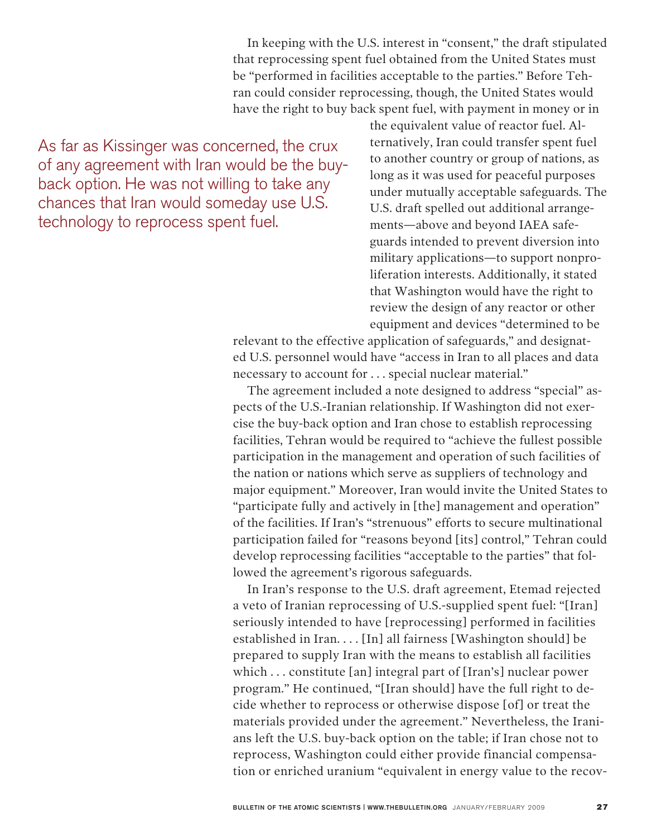In keeping with the U.S. interest in "consent," the draft stipulated that reprocessing spent fuel obtained from the United States must be "performed in facilities acceptable to the parties." Before Tehran could consider reprocessing, though, the United States would have the right to buy back spent fuel, with payment in money or in

As far as Kissinger was concerned, the crux of any agreement with Iran would be the buyback option. He was not willing to take any chances that Iran would someday use U.S. technology to reprocess spent fuel.

the equivalent value of reactor fuel. Alternatively, Iran could transfer spent fuel to another country or group of nations, as long as it was used for peaceful purposes under mutually acceptable safeguards. The U.S. draft spelled out additional arrangements—above and beyond IAEA safeguards intended to prevent diversion into military applications—to support nonproliferation interests. Additionally, it stated that Washington would have the right to review the design of any reactor or other equipment and devices "determined to be

relevant to the effective application of safeguards," and designated U.S. personnel would have "access in Iran to all places and data necessary to account for . . . special nuclear material."

The agreement included a note designed to address "special" aspects of the U.S.-Iranian relationship. If Washington did not exercise the buy-back option and Iran chose to establish reprocessing facilities, Tehran would be required to "achieve the fullest possible participation in the management and operation of such facilities of the nation or nations which serve as suppliers of technology and major equipment." Moreover, Iran would invite the United States to "participate fully and actively in [the] management and operation" of the facilities. If Iran's "strenuous" efforts to secure multinational participation failed for "reasons beyond [its] control," Tehran could develop reprocessing facilities "acceptable to the parties" that followed the agreement's rigorous safeguards.

In Iran's response to the U.S. draft agreement, Etemad rejected a veto of Iranian reprocessing of U.S.-supplied spent fuel: "[Iran] seriously intended to have [reprocessing] performed in facilities established in Iran. . . . [In] all fairness [Washington should] be prepared to supply Iran with the means to establish all facilities which . . . constitute [an] integral part of [Iran's] nuclear power program." He continued, "[Iran should] have the full right to decide whether to reprocess or otherwise dispose [of] or treat the materials provided under the agreement." Nevertheless, the Iranians left the U.S. buy-back option on the table; if Iran chose not to reprocess, Washington could either provide financial compensation or enriched uranium "equivalent in energy value to the recov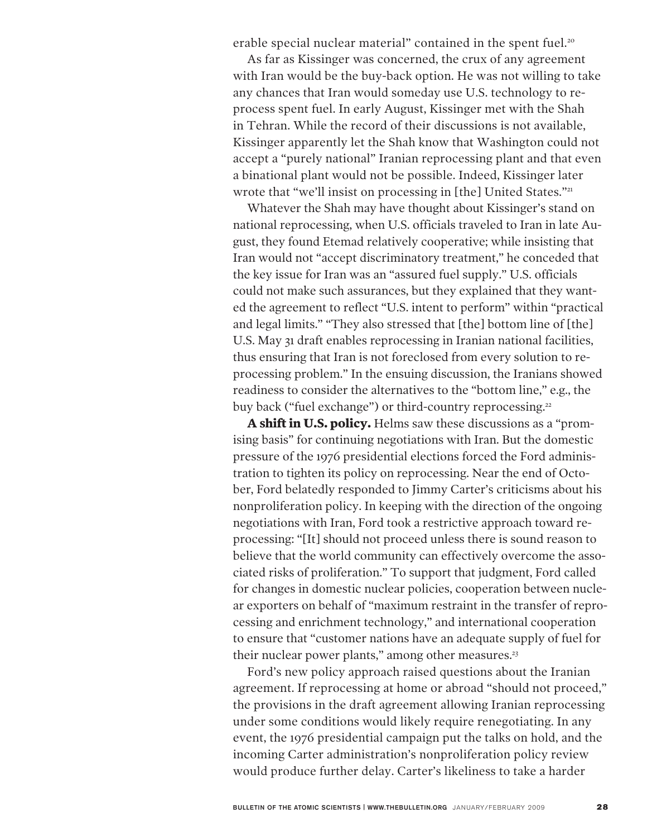erable special nuclear material" contained in the spent fuel.<sup>20</sup>

As far as Kissinger was concerned, the crux of any agreement with Iran would be the buy-back option. He was not willing to take any chances that Iran would someday use U.S. technology to reprocess spent fuel. In early August, Kissinger met with the Shah in Tehran. While the record of their discussions is not available, Kissinger apparently let the Shah know that Washington could not accept a "purely national" Iranian reprocessing plant and that even a binational plant would not be possible. Indeed, Kissinger later wrote that "we'll insist on processing in [the] United States."<sup>21</sup>

Whatever the Shah may have thought about Kissinger's stand on national reprocessing, when U.S. officials traveled to Iran in late August, they found Etemad relatively cooperative; while insisting that Iran would not "accept discriminatory treatment," he conceded that the key issue for Iran was an "assured fuel supply." U.S. officials could not make such assurances, but they explained that they wanted the agreement to reflect "U.S. intent to perform" within "practical and legal limits." "They also stressed that [the] bottom line of [the] U.S. May 31 draft enables reprocessing in Iranian national facilities, thus ensuring that Iran is not foreclosed from every solution to reprocessing problem." In the ensuing discussion, the Iranians showed readiness to consider the alternatives to the "bottom line," e.g., the buy back ("fuel exchange") or third-country reprocessing.<sup>22</sup>

**A shift in U.S. policy.** Helms saw these discussions as a "promising basis" for continuing negotiations with Iran. But the domestic pressure of the 1976 presidential elections forced the Ford administration to tighten its policy on reprocessing. Near the end of October, Ford belatedly responded to Jimmy Carter's criticisms about his nonproliferation policy. In keeping with the direction of the ongoing negotiations with Iran, Ford took a restrictive approach toward reprocessing: "[It] should not proceed unless there is sound reason to believe that the world community can effectively overcome the associated risks of proliferation." To support that judgment, Ford called for changes in domestic nuclear policies, cooperation between nuclear exporters on behalf of "maximum restraint in the transfer of reprocessing and enrichment technology," and international cooperation to ensure that "customer nations have an adequate supply of fuel for their nuclear power plants," among other measures.<sup>23</sup>

Ford's new policy approach raised questions about the Iranian agreement. If reprocessing at home or abroad "should not proceed," the provisions in the draft agreement allowing Iranian reprocessing under some conditions would likely require renegotiating. In any event, the 1976 presidential campaign put the talks on hold, and the incoming Carter administration's nonproliferation policy review would produce further delay. Carter's likeliness to take a harder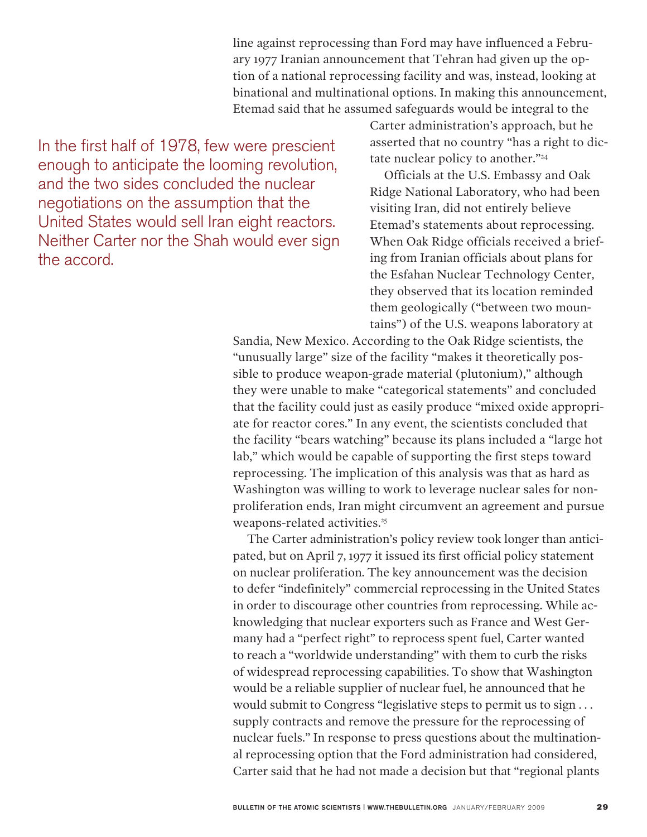line against reprocessing than Ford may have influenced a February 1977 Iranian announcement that Tehran had given up the option of a national reprocessing facility and was, instead, looking at binational and multinational options. In making this announcement, Etemad said that he assumed safeguards would be integral to the

In the first half of 1978, few were prescient enough to anticipate the looming revolution, and the two sides concluded the nuclear negotiations on the assumption that the United States would sell Iran eight reactors. Neither Carter nor the Shah would ever sign the accord.

Carter administration's approach, but he asserted that no country "has a right to dictate nuclear policy to another."<sup>24</sup>

Officials at the U.S. Embassy and Oak Ridge National Laboratory, who had been visiting Iran, did not entirely believe Etemad's statements about reprocessing. When Oak Ridge officials received a briefing from Iranian officials about plans for the Esfahan Nuclear Technology Center, they observed that its location reminded them geologically ("between two mountains") of the U.S. weapons laboratory at

Sandia, New Mexico. According to the Oak Ridge scientists, the "unusually large" size of the facility "makes it theoretically possible to produce weapon-grade material (plutonium)," although they were unable to make "categorical statements" and concluded that the facility could just as easily produce "mixed oxide appropriate for reactor cores." In any event, the scientists concluded that the facility "bears watching" because its plans included a "large hot lab," which would be capable of supporting the first steps toward reprocessing. The implication of this analysis was that as hard as Washington was willing to work to leverage nuclear sales for nonproliferation ends, Iran might circumvent an agreement and pursue weapons-related activities.<sup>25</sup>

The Carter administration's policy review took longer than anticipated, but on April 7, 1977 it issued its first official policy statement on nuclear proliferation. The key announcement was the decision to defer "indefinitely" commercial reprocessing in the United States in order to discourage other countries from reprocessing. While acknowledging that nuclear exporters such as France and West Germany had a "perfect right" to reprocess spent fuel, Carter wanted to reach a "worldwide understanding" with them to curb the risks of widespread reprocessing capabilities. To show that Washington would be a reliable supplier of nuclear fuel, he announced that he would submit to Congress "legislative steps to permit us to sign . . . supply contracts and remove the pressure for the reprocessing of nuclear fuels." In response to press questions about the multinational reprocessing option that the Ford administration had considered, Carter said that he had not made a decision but that "regional plants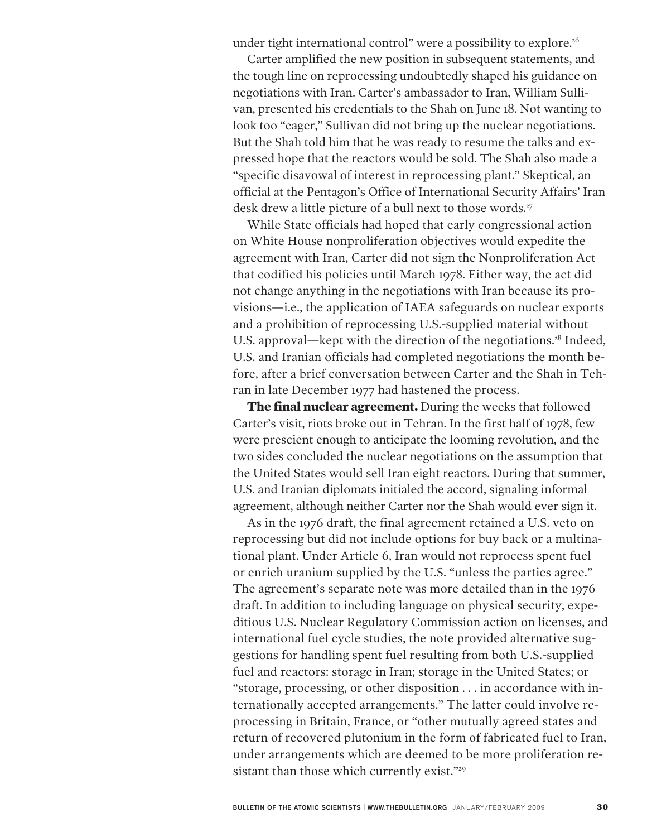under tight international control" were a possibility to explore.<sup>26</sup>

Carter amplified the new position in subsequent statements, and the tough line on reprocessing undoubtedly shaped his guidance on negotiations with Iran. Carter's ambassador to Iran, William Sullivan, presented his credentials to the Shah on June 18. Not wanting to look too "eager," Sullivan did not bring up the nuclear negotiations. But the Shah told him that he was ready to resume the talks and expressed hope that the reactors would be sold. The Shah also made a "specific disavowal of interest in reprocessing plant." Skeptical, an official at the Pentagon's Office of International Security Affairs' Iran desk drew a little picture of a bull next to those words.<sup>27</sup>

While State officials had hoped that early congressional action on White House nonproliferation objectives would expedite the agreement with Iran, Carter did not sign the Nonproliferation Act that codified his policies until March 1978. Either way, the act did not change anything in the negotiations with Iran because its provisions—i.e., the application of IAEA safeguards on nuclear exports and a prohibition of reprocessing U.S.-supplied material without U.S. approval—kept with the direction of the negotiations.<sup>28</sup> Indeed, U.S. and Iranian officials had completed negotiations the month before, after a brief conversation between Carter and the Shah in Tehran in late December 1977 had hastened the process.

**The final nuclear agreement.** During the weeks that followed Carter's visit, riots broke out in Tehran. In the first half of 1978, few were prescient enough to anticipate the looming revolution, and the two sides concluded the nuclear negotiations on the assumption that the United States would sell Iran eight reactors. During that summer, U.S. and Iranian diplomats initialed the accord, signaling informal agreement, although neither Carter nor the Shah would ever sign it.

As in the 1976 draft, the final agreement retained a U.S. veto on reprocessing but did not include options for buy back or a multinational plant. Under Article 6, Iran would not reprocess spent fuel or enrich uranium supplied by the U.S. "unless the parties agree." The agreement's separate note was more detailed than in the 1976 draft. In addition to including language on physical security, expeditious U.S. Nuclear Regulatory Commission action on licenses, and international fuel cycle studies, the note provided alternative suggestions for handling spent fuel resulting from both U.S.-supplied fuel and reactors: storage in Iran; storage in the United States; or "storage, processing, or other disposition . . . in accordance with internationally accepted arrangements." The latter could involve reprocessing in Britain, France, or "other mutually agreed states and return of recovered plutonium in the form of fabricated fuel to Iran, under arrangements which are deemed to be more proliferation resistant than those which currently exist."<sup>29</sup>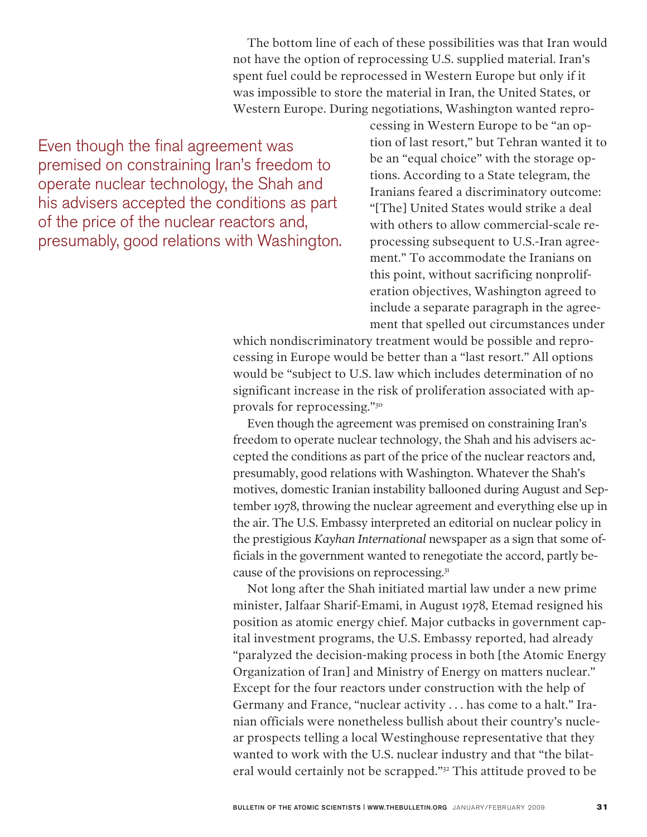The bottom line of each of these possibilities was that Iran would not have the option of reprocessing U.S. supplied material. Iran's spent fuel could be reprocessed in Western Europe but only if it was impossible to store the material in Iran, the United States, or Western Europe. During negotiations, Washington wanted repro-

Even though the final agreement was premised on constraining Iran's freedom to operate nuclear technology, the Shah and his advisers accepted the conditions as part of the price of the nuclear reactors and, presumably, good relations with Washington. cessing in Western Europe to be "an option of last resort," but Tehran wanted it to be an "equal choice" with the storage options. According to a State telegram, the Iranians feared a discriminatory outcome: "[The] United States would strike a deal with others to allow commercial-scale reprocessing subsequent to U.S.-Iran agreement." To accommodate the Iranians on this point, without sacrificing nonproliferation objectives, Washington agreed to include a separate paragraph in the agreement that spelled out circumstances under

which nondiscriminatory treatment would be possible and reprocessing in Europe would be better than a "last resort." All options would be "subject to U.S. law which includes determination of no significant increase in the risk of proliferation associated with approvals for reprocessing."30

Even though the agreement was premised on constraining Iran's freedom to operate nuclear technology, the Shah and his advisers accepted the conditions as part of the price of the nuclear reactors and, presumably, good relations with Washington. Whatever the Shah's motives, domestic Iranian instability ballooned during August and September 1978, throwing the nuclear agreement and everything else up in the air. The U.S. Embassy interpreted an editorial on nuclear policy in the prestigious *Kayhan International* newspaper as a sign that some officials in the government wanted to renegotiate the accord, partly because of the provisions on reprocessing.31

Not long after the Shah initiated martial law under a new prime minister, Jalfaar Sharif-Emami, in August 1978, Etemad resigned his position as atomic energy chief. Major cutbacks in government capital investment programs, the U.S. Embassy reported, had already "paralyzed the decision-making process in both [the Atomic Energy Organization of Iran] and Ministry of Energy on matters nuclear." Except for the four reactors under construction with the help of Germany and France, "nuclear activity . . . has come to a halt." Iranian officials were nonetheless bullish about their country's nuclear prospects telling a local Westinghouse representative that they wanted to work with the U.S. nuclear industry and that "the bilateral would certainly not be scrapped."32 This attitude proved to be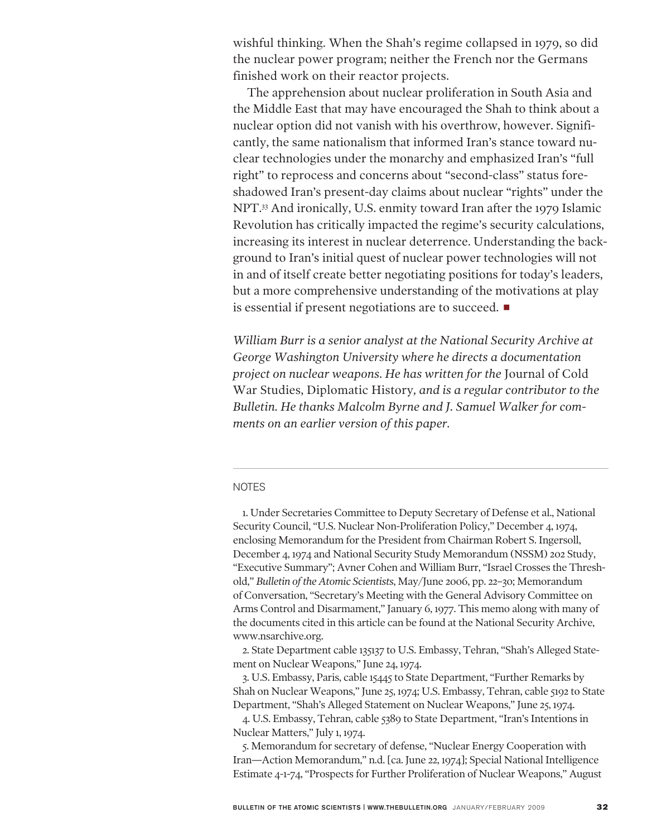wishful thinking. When the Shah's regime collapsed in 1979, so did the nuclear power program; neither the French nor the Germans finished work on their reactor projects.

The apprehension about nuclear proliferation in South Asia and the Middle East that may have encouraged the Shah to think about a nuclear option did not vanish with his overthrow, however. Significantly, the same nationalism that informed Iran's stance toward nuclear technologies under the monarchy and emphasized Iran's "full right" to reprocess and concerns about "second-class" status foreshadowed Iran's present-day claims about nuclear "rights" under the NPT.33 And ironically, U.S. enmity toward Iran after the 1979 Islamic Revolution has critically impacted the regime's security calculations, increasing its interest in nuclear deterrence. Understanding the background to Iran's initial quest of nuclear power technologies will not in and of itself create better negotiating positions for today's leaders, but a more comprehensive understanding of the motivations at play is essential if present negotiations are to succeed.  $\blacksquare$ 

*William Burr is a senior analyst at the National Security Archive at George Washington University where he directs a documentation project on nuclear weapons. He has written for the* Journal of Cold War Studies, Diplomatic History*, and is a regular contributor to the Bulletin. He thanks Malcolm Byrne and J. Samuel Walker for comments on an earlier version of this paper.*

## **NOTES**

1. Under Secretaries Committee to Deputy Secretary of Defense et al., National Security Council, "U.S. Nuclear Non-Proliferation Policy," December 4, 1974, enclosing Memorandum for the President from Chairman Robert S. Ingersoll, December 4, 1974 and National Security Study Memorandum (NSSM) 202 Study, "Executive Summary"; Avner Cohen and William Burr, "Israel Crosses the Threshold," *Bulletin of the Atomic Scientists*, May/June 2006, pp. 22–30; Memorandum of Conversation, "Secretary's Meeting with the General Advisory Committee on Arms Control and Disarmament," January 6, 1977. This memo along with many of the documents cited in this article can be found at the National Security Archive, www.nsarchive.org.

2. State Department cable 135137 to U.S. Embassy, Tehran, "Shah's Alleged Statement on Nuclear Weapons," June 24, 1974.

3. U.S. Embassy, Paris, cable 15445 to State Department, "Further Remarks by Shah on Nuclear Weapons," June 25, 1974; U.S. Embassy, Tehran, cable 5192 to State Department, "Shah's Alleged Statement on Nuclear Weapons," June 25, 1974.

4. U.S. Embassy, Tehran, cable 5389 to State Department, "Iran's Intentions in Nuclear Matters," July 1, 1974.

5. Memorandum for secretary of defense, "Nuclear Energy Cooperation with Iran—Action Memorandum," n.d. [ca. June 22, 1974]; Special National Intelligence Estimate 4-1-74, "Prospects for Further Proliferation of Nuclear Weapons," August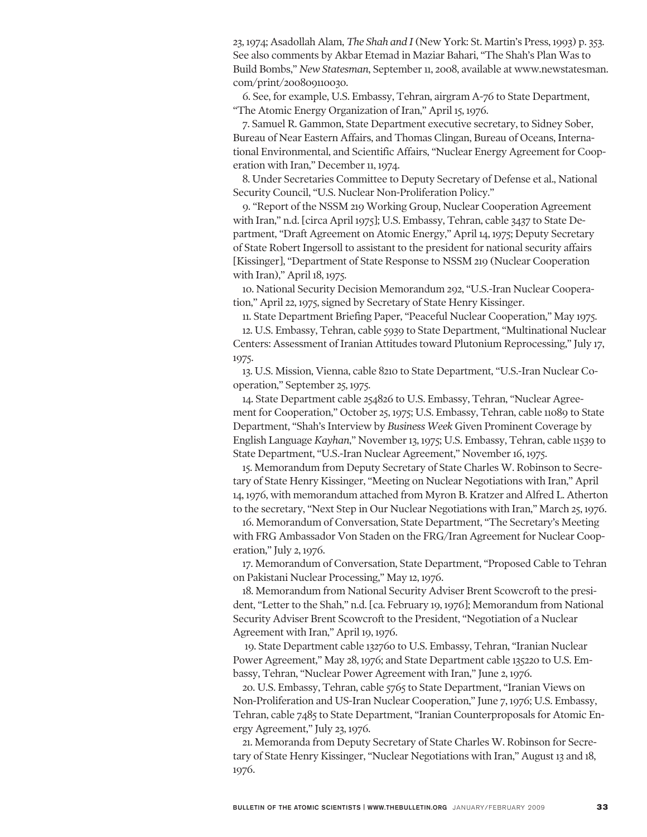23, 1974; Asadollah Alam, *The Shah and I* (New York: St. Martin's Press, 1993) p. 353. See also comments by Akbar Etemad in Maziar Bahari, "The Shah's Plan Was to Build Bombs," *New Statesman*, September 11, 2008, available at www.newstatesman. com/print/200809110030.

6. See, for example, U.S. Embassy, Tehran, airgram A-76 to State Department, "The Atomic Energy Organization of Iran," April 15, 1976.

7. Samuel R. Gammon, State Department executive secretary, to Sidney Sober, Bureau of Near Eastern Affairs, and Thomas Clingan, Bureau of Oceans, International Environmental, and Scientific Affairs, "Nuclear Energy Agreement for Cooperation with Iran," December 11, 1974.

8. Under Secretaries Committee to Deputy Secretary of Defense et al., National Security Council, "U.S. Nuclear Non-Proliferation Policy."

9. "Report of the NSSM 219 Working Group, Nuclear Cooperation Agreement with Iran," n.d. [circa April 1975]; U.S. Embassy, Tehran, cable 3437 to State Department, "Draft Agreement on Atomic Energy," April 14, 1975; Deputy Secretary of State Robert Ingersoll to assistant to the president for national security affairs [Kissinger], "Department of State Response to NSSM 219 (Nuclear Cooperation with Iran)," April 18, 1975.

10. National Security Decision Memorandum 292, "U.S.-Iran Nuclear Cooperation," April 22, 1975, signed by Secretary of State Henry Kissinger.

11. State Department Briefing Paper, "Peaceful Nuclear Cooperation," May 1975.

12. U.S. Embassy, Tehran, cable 5939 to State Department, "Multinational Nuclear Centers: Assessment of Iranian Attitudes toward Plutonium Reprocessing," July 17, 1975.

13. U.S. Mission, Vienna, cable 8210 to State Department, "U.S.-Iran Nuclear Cooperation," September 25, 1975.

14. State Department cable 254826 to U.S. Embassy, Tehran, "Nuclear Agreement for Cooperation," October 25, 1975; U.S. Embassy, Tehran, cable 11089 to State Department, "Shah's Interview by *Business Week* Given Prominent Coverage by English Language *Kayhan*," November 13, 1975; U.S. Embassy, Tehran, cable 11539 to State Department, "U.S.-Iran Nuclear Agreement," November 16, 1975.

15. Memorandum from Deputy Secretary of State Charles W. Robinson to Secretary of State Henry Kissinger, "Meeting on Nuclear Negotiations with Iran," April 14, 1976, with memorandum attached from Myron B. Kratzer and Alfred L. Atherton to the secretary, "Next Step in Our Nuclear Negotiations with Iran," March 25, 1976.

16. Memorandum of Conversation, State Department, "The Secretary's Meeting with FRG Ambassador Von Staden on the FRG/Iran Agreement for Nuclear Cooperation," July 2, 1976.

17. Memorandum of Conversation, State Department, "Proposed Cable to Tehran on Pakistani Nuclear Processing," May 12, 1976.

18. Memorandum from National Security Adviser Brent Scowcroft to the president, "Letter to the Shah," n.d. [ca. February 19, 1976]; Memorandum from National Security Adviser Brent Scowcroft to the President, "Negotiation of a Nuclear Agreement with Iran," April 19, 1976.

 19. State Department cable 132760 to U.S. Embassy, Tehran, "Iranian Nuclear Power Agreement," May 28, 1976; and State Department cable 135220 to U.S. Embassy, Tehran, "Nuclear Power Agreement with Iran," June 2, 1976.

20. U.S. Embassy, Tehran, cable 5765 to State Department, "Iranian Views on Non-Proliferation and US-Iran Nuclear Cooperation," June 7, 1976; U.S. Embassy, Tehran, cable 7485 to State Department, "Iranian Counterproposals for Atomic Energy Agreement," July 23, 1976.

21. Memoranda from Deputy Secretary of State Charles W. Robinson for Secretary of State Henry Kissinger, "Nuclear Negotiations with Iran," August 13 and 18, 1976.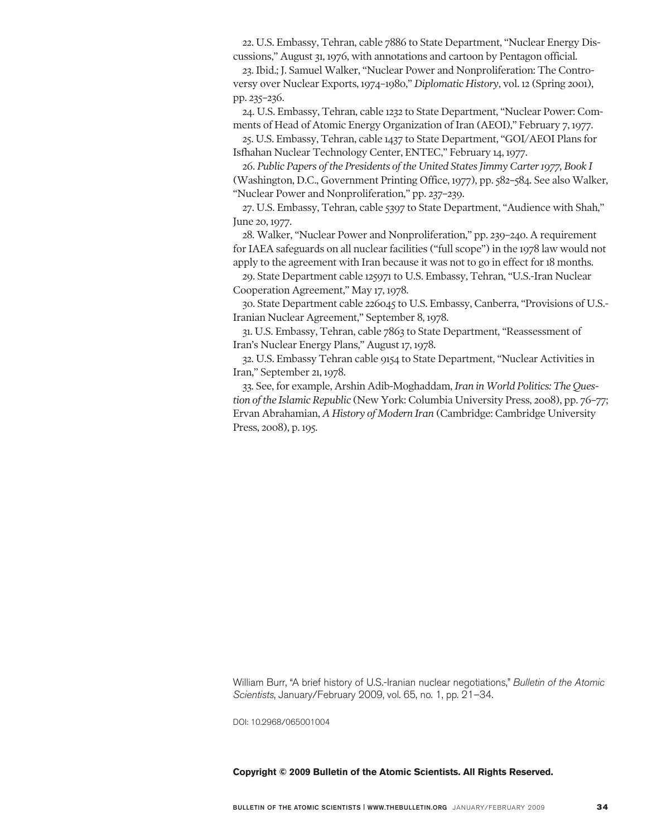22. U.S. Embassy, Tehran, cable 7886 to State Department, "Nuclear Energy Discussions," August 31, 1976, with annotations and cartoon by Pentagon official.

23. Ibid.; J. Samuel Walker, "Nuclear Power and Nonproliferation: The Controversy over Nuclear Exports, 1974–1980," *Diplomatic History*, vol. 12 (Spring 2001), pp. 235–236.

24. U.S. Embassy, Tehran, cable 1232 to State Department, "Nuclear Power: Comments of Head of Atomic Energy Organization of Iran (AEOI)," February 7, 1977.

25. U.S. Embassy, Tehran, cable 1437 to State Department, "GOI/AEOI Plans for Isfhahan Nuclear Technology Center, ENTEC," February 14, 1977.

26. *Public Papers of the Presidents of the United States Jimmy Carter 1977, Book I* (Washington, D.C., Government Printing Office, 1977), pp. 582–584. See also Walker, "Nuclear Power and Nonproliferation," pp. 237–239.

27. U.S. Embassy, Tehran, cable 5397 to State Department, "Audience with Shah," June 20, 1977.

28. Walker, "Nuclear Power and Nonproliferation," pp. 239–240. A requirement for IAEA safeguards on all nuclear facilities ("full scope") in the 1978 law would not apply to the agreement with Iran because it was not to go in effect for 18 months.

29. State Department cable 125971 to U.S. Embassy, Tehran, "U.S.-Iran Nuclear Cooperation Agreement," May 17, 1978.

30. State Department cable 226045 to U.S. Embassy, Canberra, "Provisions of U.S.- Iranian Nuclear Agreement," September 8, 1978.

31. U.S. Embassy, Tehran, cable 7863 to State Department, "Reassessment of Iran's Nuclear Energy Plans," August 17, 1978.

32. U.S. Embassy Tehran cable 9154 to State Department, "Nuclear Activities in Iran," September 21, 1978.

33. See, for example, Arshin Adib-Moghaddam, *Iran in World Politics: The Question of the Islamic Republic* (New York: Columbia University Press, 2008), pp. 76–77; Ervan Abrahamian, *A History of Modern Iran* (Cambridge: Cambridge University Press, 2008), p. 195.

William Burr, "A brief history of U.S.-Iranian nuclear negotiations," Bulletin of the Atomic Scientists, January/February 2009, vol. 65, no. 1, pp. 21–34.

DOI: 10.2968/065001004

## **Copyright © 2009 Bulletin of the Atomic Scientists. All Rights Reserved.**